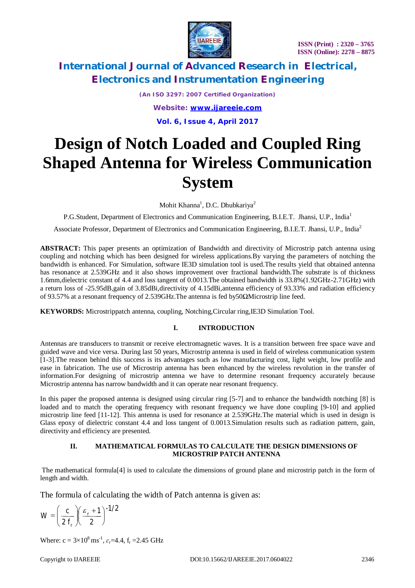

*(An ISO 3297: 2007 Certified Organization) Website: [www.ijareeie.com](http://www.ijareeie.com)* **Vol. 6, Issue 4, April 2017**

# **Design of Notch Loaded and Coupled Ring Shaped Antenna for Wireless Communication System**

Mohit Khanna<sup>1</sup>, D.C. Dhubkariya<sup>2</sup>

P.G.Student, Department of Electronics and Communication Engineering, B.I.E.T. Jhansi, U.P., India<sup>1</sup>

Associate Professor, Department of Electronics and Communication Engineering, B.I.E.T. Jhansi, U.P., India<sup>2</sup>

**ABSTRACT:** This paper presents an optimization of Bandwidth and directivity of Microstrip patch antenna using coupling and notching which has been designed for wireless applications.By varying the parameters of notching the bandwidth is enhanced. For Simulation, software IE3D simulation tool is used.The results yield that obtained antenna has resonance at 2.539GHz and it also shows improvement over fractional bandwidth.The substrate is of thickness 1.6mm,dielectric constant of 4.4 and loss tangent of 0.0013.The obtained bandwidth is 33.8%(1.92GHz-2.71GHz) with a return loss of -25.95dB,gain of 3.85dBi,directivity of 4.15dBi,antenna efficiency of 93.33% and radiation efficiency of 93.57% at a resonant frequency of 2.539GHz.The antenna is fed by50ΩMicrostrip line feed.

**KEYWORDS:** Microstrippatch antenna, coupling, Notching,Circular ring,IE3D Simulation Tool.

### **I. INTRODUCTION**

Antennas are transducers to transmit or receive electromagnetic waves. It is a transition between free space wave and guided wave and vice versa. During last 50 years, Microstrip antenna is used in field of wireless communication system [1-3].The reason behind this success is its advantages such as low manufacturing cost, light weight, low profile and ease in fabrication. The use of Microstrip antenna has been enhanced by the wireless revolution in the transfer of information.For designing of microstrip antenna we have to determine resonant frequency accurately because Microstrip antenna has narrow bandwidth and it can operate near resonant frequency.

In this paper the proposed antenna is designed using circular ring [5-7] and to enhance the bandwidth notching [8] is loaded and to match the operating frequency with resonant frequency we have done coupling [9-10] and applied microstrip line feed [11-12]. This antenna is used for resonance at 2.539GHz.The material which is used in design is Glass epoxy of dielectric constant 4.4 and loss tangent of 0.0013.Simulation results such as radiation pattern, gain, directivity and efficiency are presented.

### **II. MATHEMATICAL FORMULAS TO CALCULATE THE DESIGN DIMENSIONS OF MICROSTRIP PATCH ANTENNA**

The mathematical formula[4] is used to calculate the dimensions of ground plane and microstrip patch in the form of length and width.

The formula of calculating the width of Patch antenna is given as:

$$
W = \left(\frac{c}{2 f_r}\right) \left(\frac{\varepsilon_r + 1}{2}\right)^{-1/2}
$$

Where:  $c = 3 \times 10^8 \text{ ms}^{-1}$ ,  $\varepsilon_r = 4.4$ ,  $f_r = 2.45 \text{ GHz}$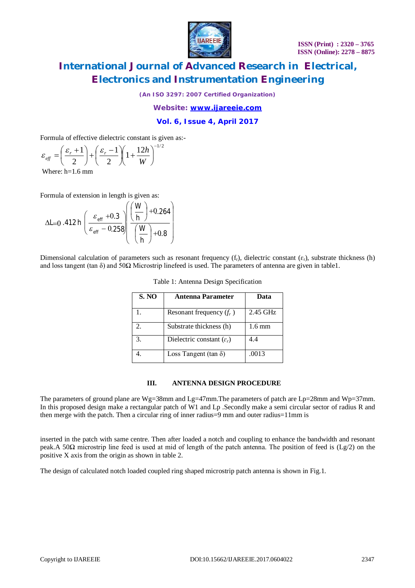

*(An ISO 3297: 2007 Certified Organization)*

*Website: [www.ijareeie.com](http://www.ijareeie.com)*

### **Vol. 6, Issue 4, April 2017**

Formula of effective dielectric constant is given as:-

$$
\varepsilon_{\text{eff}} = \left(\frac{\varepsilon_r + 1}{2}\right) + \left(\frac{\varepsilon_r - 1}{2}\right) \left(1 + \frac{12h}{W}\right)^{-1/2}
$$

Where: h=1.6 mm

Formula of extension in length is given as:

$$
\Delta L = 0.412 h \left( \frac{\varepsilon_{\text{eff}} + 0.3}{\varepsilon_{\text{eff}} - 0.258} \left( \frac{\left( \frac{W}{h} \right) + 0.264}{\left( \frac{W}{h} \right) + 0.8} \right) \right)
$$

Dimensional calculation of parameters such as resonant frequency  $(f_r)$ , dielectric constant  $(\varepsilon_r)$ , substrate thickness (h) and loss tangent (tan  $\delta$ ) and 50 $\Omega$  Microstrip linefeed is used. The parameters of antenna are given in table1.

| <b>S. NO</b>                | <b>Antenna Parameter</b>              | Data             |
|-----------------------------|---------------------------------------|------------------|
|                             | Resonant frequency $(f_r)$            | $2.45$ GHz       |
| $\mathcal{D}_{\mathcal{L}}$ | Substrate thickness (h)               | $1.6 \text{ mm}$ |
| 3.                          | Dielectric constant $(\varepsilon_r)$ | 4.4              |
|                             | Loss Tangent (tan $\delta$ )          | .0013            |

### **III. ANTENNA DESIGN PROCEDURE**

The parameters of ground plane are Wg=38mm and Lg=47mm. The parameters of patch are Lp=28mm and Wp=37mm. In this proposed design make a rectangular patch of W1 and Lp .Secondly make a semi circular sector of radius R and then merge with the patch. Then a circular ring of inner radius=9 mm and outer radius=11mm is

inserted in the patch with same centre. Then after loaded a notch and coupling to enhance the bandwidth and resonant peak.A 50Ω microstrip line feed is used at mid of length of the patch antenna. The position of feed is (Lg/2) on the positive X axis from the origin as shown in table 2.

The design of calculated notch loaded coupled ring shaped microstrip patch antenna is shown in Fig.1.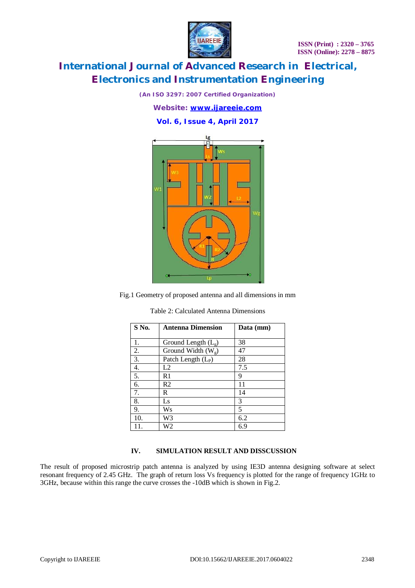

*(An ISO 3297: 2007 Certified Organization)*

*Website: [www.ijareeie.com](http://www.ijareeie.com)*

### **Vol. 6, Issue 4, April 2017**



Fig.1 Geometry of proposed antenna and all dimensions in mm

Table 2: Calculated Antenna Dimensions

| S No.            | <b>Antenna Dimension</b> | Data (mm) |
|------------------|--------------------------|-----------|
| 1.               | Ground Length $(L_{g})$  | 38        |
| 2.               | Ground Width $(W_g)$     | 47        |
| 3.               | Patch Length $(L_P)$     | 28        |
| 4.               | L2                       | 7.5       |
| $\overline{5}$ . | R1                       | 9         |
| 6.               | R2                       | 11        |
| 7.               | R                        | 14        |
| 8.               | Ls                       | 3         |
| 9.               | Ws                       | 5         |
| 10.              | W3                       | 6.2       |
| 11.              | W2                       | 6.9       |

#### **IV. SIMULATION RESULT AND DISSCUSSION**

The result of proposed microstrip patch antenna is analyzed by using IE3D antenna designing software at select resonant frequency of 2.45 GHz. The graph of return loss Vs frequency is plotted for the range of frequency 1GHz to 3GHz, because within this range the curve crosses the -10dB which is shown in Fig.2.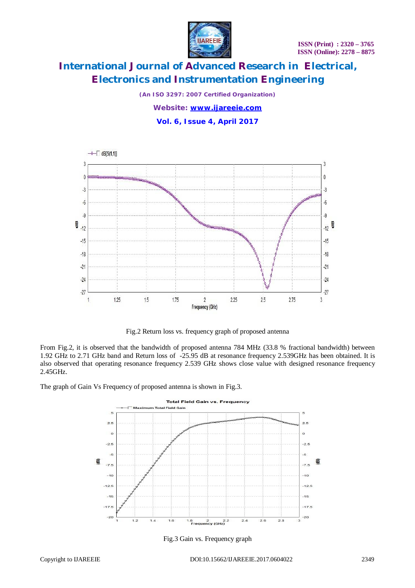

*(An ISO 3297: 2007 Certified Organization)*

*Website: [www.ijareeie.com](http://www.ijareeie.com)* **Vol. 6, Issue 4, April 2017**



Fig.2 Return loss vs. frequency graph of proposed antenna

From Fig.2, it is observed that the bandwidth of proposed antenna 784 MHz (33.8 % fractional bandwidth) between 1.92 GHz to 2.71 GHz band and Return loss of -25.95 dB at resonance frequency 2.539GHz has been obtained. It is also observed that operating resonance frequency 2.539 GHz shows close value with designed resonance frequency 2.45GHz.

The graph of Gain Vs Frequency of proposed antenna is shown in Fig.3.



Fig.3 Gain vs. Frequency graph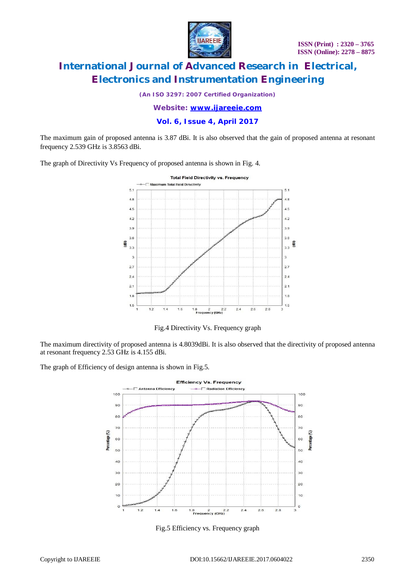

*(An ISO 3297: 2007 Certified Organization)*

*Website: [www.ijareeie.com](http://www.ijareeie.com)*

**Vol. 6, Issue 4, April 2017**

The maximum gain of proposed antenna is 3.87 dBi. It is also observed that the gain of proposed antenna at resonant frequency 2.539 GHz is 3.8563 dBi.

The graph of Directivity Vs Frequency of proposed antenna is shown in Fig. 4.



Fig.4 Directivity Vs. Frequency graph

The maximum directivity of proposed antenna is 4.8039dBi. It is also observed that the directivity of proposed antenna at resonant frequency 2.53 GHz is 4.155 dBi.

The graph of Efficiency of design antenna is shown in Fig.5.



Fig.5 Efficiency vs. Frequency graph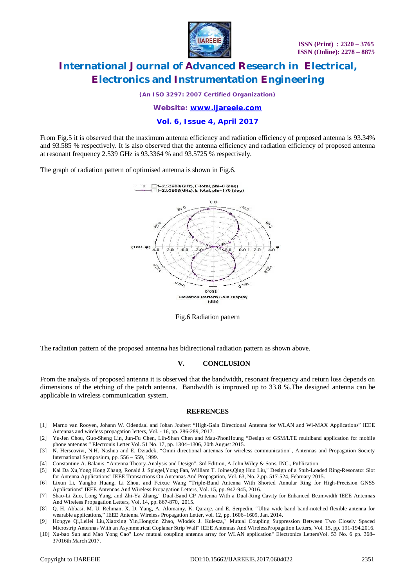

*(An ISO 3297: 2007 Certified Organization)*

*Website: [www.ijareeie.com](http://www.ijareeie.com)*

### **Vol. 6, Issue 4, April 2017**

From Fig.5 it is observed that the maximum antenna efficiency and radiation efficiency of proposed antenna is 93.34% and 93.585 % respectively. It is also observed that the antenna efficiency and radiation efficiency of proposed antenna at resonant frequency 2.539 GHz is 93.3364 % and 93.5725 % respectively.

The graph of radiation pattern of optimised antenna is shown in Fig.6.



Fig.6 Radiation pattern

The radiation pattern of the proposed antenna has bidirectional radiation pattern as shown above.

#### **V. CONCLUSION**

From the analysis of proposed antenna it is observed that the bandwidth, resonant frequency and return loss depends on dimensions of the etching of the patch antenna. Bandwidth is improved up to 33.8 %.The designed antenna can be applicable in wireless communication system.

#### **REFRENCES**

- [1] Marno van Rooyen, Johann W. Odendaal and Johan Joubert "High-Gain Directional Antenna for WLAN and Wi-MAX Applications" IEEE Antennas and wireless propagation letters, Vol. - 16, pp. 286-289, 2017.
- [2] Yu-Jen Chou, Guo-Sheng Lin, Jun-Fu Chen, Lih-Shan Chen and Mau-PhonHoung "Design of GSM/LTE multiband application for mobile phone antennas " Electronis Letter Vol. 51 No. 17, pp. 1304–1306, 20th August 2015.
- [3] N. Herscovivi, N.H. Nashua and E. Dziadek, "Omni directional antennas for wireless communication", Antennas and Propagation Society International Symposium, pp. 556 – 559, 1999.
- [4] Constantine A. Balanis, "Antenna Theory-Analysis and Design", 3rd Edition, A John Wiley & Sons, INC., Publication.
- [5] Kai Da Xu*,*Yong Hong Zhang, Ronald J. Spiegel*,*Yong Fan, William T. Joines*,*Qing Huo Liu*,*" Design of a Stub-Loaded Ring-Resonator Slot for Antenna Applications" IEEE Transactions On Antennas And Propagation, Vol. 63, No. 2,pp. 517-524, February 2015.
- [6] Lixun Li, Yangbo Huang, Li Zhou, and Feixue Wang "Triple-Band Antenna With Shorted Annular Ring for High-Precision GNSS Applications" IEEE Antennas And Wireless Propagation Letters, Vol. 15, pp. 942-945, 2016.
- [7] Shao-Li Zuo, Long Yang, and Zhi-Ya Zhang*,*" Dual-Band CP Antenna With a Dual-Ring Cavity for Enhanced Beamwidth"IEEE Antennas And Wireless Propagation Letters, Vol. 14, pp. 867-870, 2015.
- [8] Q. H. Abbasi, M. U. Rehman, X. D. Yang, A. Alomainy, K. Qaraqe, and E. Serpedin, "Ultra wide band band-notched flexible antenna for wearable applications," IEEE Antenna Wireless Propagation Letter, vol. 12, pp. 1606–1609, Jan. 2014.
- [9] Hongye Qi*,*Leilei Liu*,*Xiaoxing Yin*,*Hongxin Zhao, Wlodek J. Kulesza*,*" Mutual Coupling Suppression Between Two Closely Spaced Microstrip Antennas With an Asymmetrical Coplanar Strip Wall" IEEE Antennas And WirelessPropagation Letters, Vol. 15, pp. 191-194,2016.
- [10] Xu-bao Sun and Mao Yong Cao" Low mutual coupling antenna array for WLAN application" Electronics LettersVol. 53 No. 6 pp. 368– 37016th March 2017.